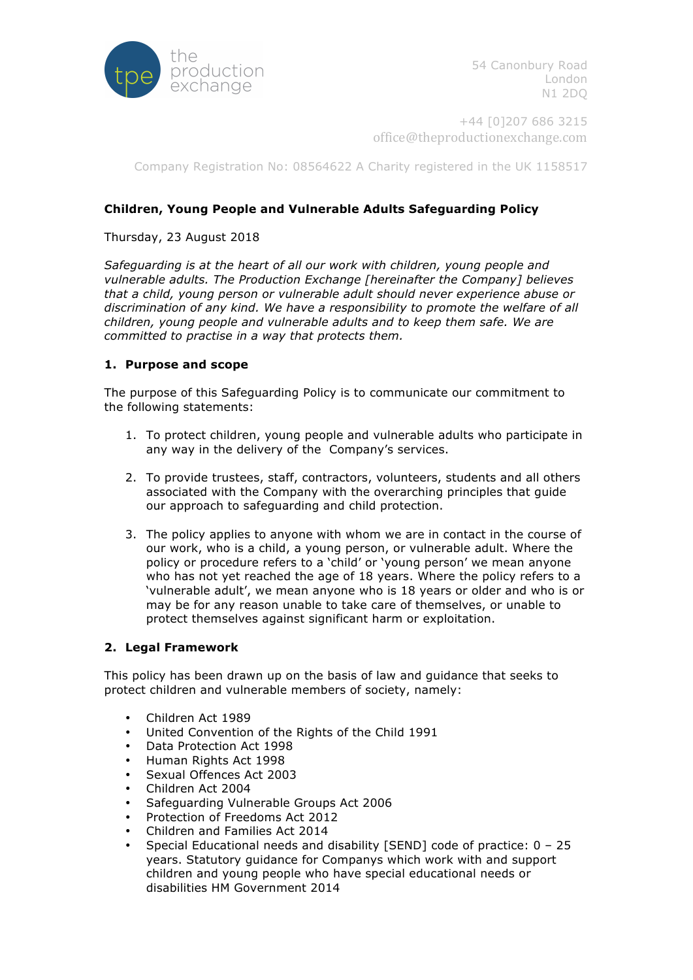

54 Canonbury Road London N1 2DQ

+44 [0]207 686 3215 office@theproductionexchange.com

Company Registration No: 08564622 A Charity registered in the UK 1158517

# **Children, Young People and Vulnerable Adults Safeguarding Policy**

### Thursday, 23 August 2018

*Safeguarding is at the heart of all our work with children, young people and vulnerable adults. The Production Exchange [hereinafter the Company] believes that a child, young person or vulnerable adult should never experience abuse or discrimination of any kind. We have a responsibility to promote the welfare of all children, young people and vulnerable adults and to keep them safe. We are committed to practise in a way that protects them.*

## **1. Purpose and scope**

The purpose of this Safeguarding Policy is to communicate our commitment to the following statements:

- 1. To protect children, young people and vulnerable adults who participate in any way in the delivery of the Company's services.
- 2. To provide trustees, staff, contractors, volunteers, students and all others associated with the Company with the overarching principles that guide our approach to safeguarding and child protection.
- 3. The policy applies to anyone with whom we are in contact in the course of our work, who is a child, a young person, or vulnerable adult. Where the policy or procedure refers to a 'child' or 'young person' we mean anyone who has not yet reached the age of 18 years. Where the policy refers to a 'vulnerable adult', we mean anyone who is 18 years or older and who is or may be for any reason unable to take care of themselves, or unable to protect themselves against significant harm or exploitation.

#### **2. Legal Framework**

This policy has been drawn up on the basis of law and guidance that seeks to protect children and vulnerable members of society, namely:

- Children Act 1989
- United Convention of the Rights of the Child 1991
- Data Protection Act 1998
- Human Rights Act 1998
- Sexual Offences Act 2003
- Children Act 2004
- Safeguarding Vulnerable Groups Act 2006
- Protection of Freedoms Act 2012
- Children and Families Act 2014
- Special Educational needs and disability [SEND] code of practice: 0 25 years. Statutory guidance for Companys which work with and support children and young people who have special educational needs or disabilities HM Government 2014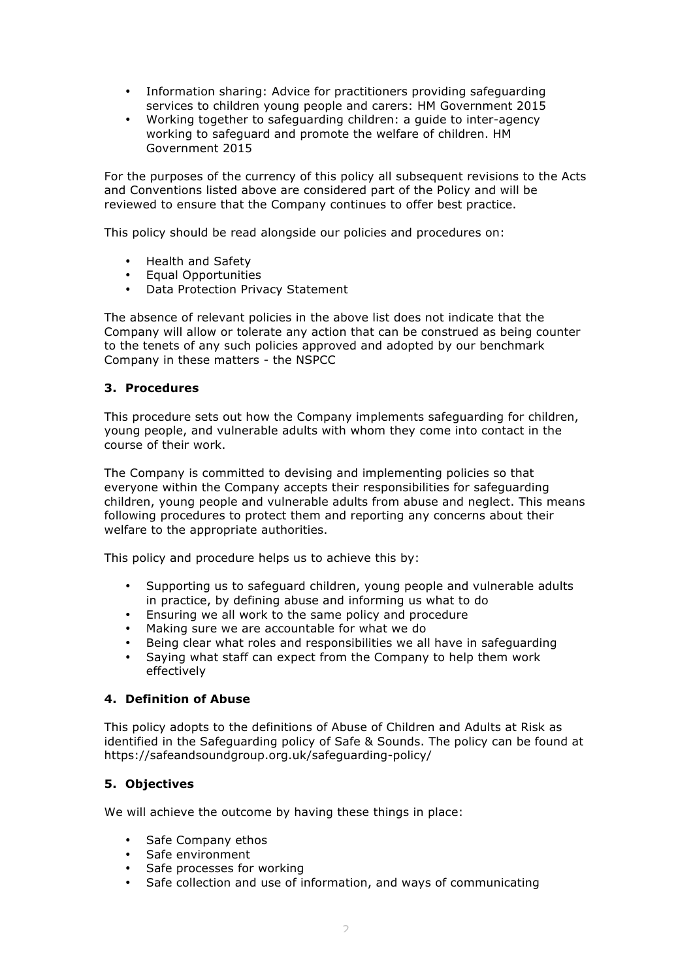- Information sharing: Advice for practitioners providing safeguarding services to children young people and carers: HM Government 2015
- Working together to safeguarding children: a guide to inter-agency working to safeguard and promote the welfare of children. HM Government 2015

For the purposes of the currency of this policy all subsequent revisions to the Acts and Conventions listed above are considered part of the Policy and will be reviewed to ensure that the Company continues to offer best practice.

This policy should be read alongside our policies and procedures on:

- Health and Safety
- Equal Opportunities
- Data Protection Privacy Statement

The absence of relevant policies in the above list does not indicate that the Company will allow or tolerate any action that can be construed as being counter to the tenets of any such policies approved and adopted by our benchmark Company in these matters - the NSPCC

## **3. Procedures**

This procedure sets out how the Company implements safeguarding for children, young people, and vulnerable adults with whom they come into contact in the course of their work.

The Company is committed to devising and implementing policies so that everyone within the Company accepts their responsibilities for safeguarding children, young people and vulnerable adults from abuse and neglect. This means following procedures to protect them and reporting any concerns about their welfare to the appropriate authorities.

This policy and procedure helps us to achieve this by:

- Supporting us to safeguard children, young people and vulnerable adults in practice, by defining abuse and informing us what to do
- Ensuring we all work to the same policy and procedure
- Making sure we are accountable for what we do
- Being clear what roles and responsibilities we all have in safeguarding
- Saying what staff can expect from the Company to help them work effectively

#### **4. Definition of Abuse**

This policy adopts to the definitions of Abuse of Children and Adults at Risk as identified in the Safeguarding policy of Safe & Sounds. The policy can be found at https://safeandsoundgroup.org.uk/safeguarding-policy/

# **5. Objectives**

We will achieve the outcome by having these things in place:

- Safe Company ethos
- Safe environment
- Safe processes for working
- Safe collection and use of information, and ways of communicating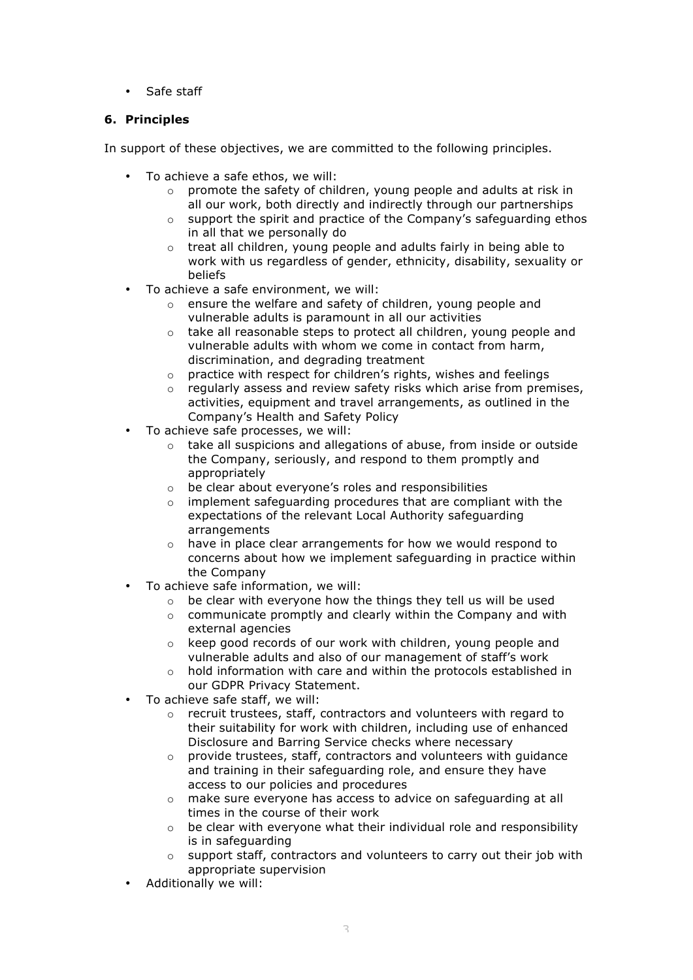• Safe staff

# **6. Principles**

In support of these objectives, we are committed to the following principles.

- To achieve a safe ethos, we will:
	- o promote the safety of children, young people and adults at risk in all our work, both directly and indirectly through our partnerships
	- $\circ$  support the spirit and practice of the Company's safeguarding ethos in all that we personally do
	- o treat all children, young people and adults fairly in being able to work with us regardless of gender, ethnicity, disability, sexuality or beliefs
- To achieve a safe environment, we will:
	- o ensure the welfare and safety of children, young people and vulnerable adults is paramount in all our activities
	- o take all reasonable steps to protect all children, young people and vulnerable adults with whom we come in contact from harm, discrimination, and degrading treatment
	- o practice with respect for children's rights, wishes and feelings
	- o regularly assess and review safety risks which arise from premises, activities, equipment and travel arrangements, as outlined in the Company's Health and Safety Policy
- To achieve safe processes, we will:
	- o take all suspicions and allegations of abuse, from inside or outside the Company, seriously, and respond to them promptly and appropriately
	- o be clear about everyone's roles and responsibilities
	- o implement safeguarding procedures that are compliant with the expectations of the relevant Local Authority safeguarding arrangements
	- o have in place clear arrangements for how we would respond to concerns about how we implement safeguarding in practice within the Company
- To achieve safe information, we will:
	- o be clear with everyone how the things they tell us will be used
	- o communicate promptly and clearly within the Company and with external agencies
	- o keep good records of our work with children, young people and vulnerable adults and also of our management of staff's work
	- o hold information with care and within the protocols established in our GDPR Privacy Statement.
- To achieve safe staff, we will:
	- o recruit trustees, staff, contractors and volunteers with regard to their suitability for work with children, including use of enhanced Disclosure and Barring Service checks where necessary
	- o provide trustees, staff, contractors and volunteers with guidance and training in their safeguarding role, and ensure they have access to our policies and procedures
	- o make sure everyone has access to advice on safeguarding at all times in the course of their work
	- $\circ$  be clear with everyone what their individual role and responsibility is in safeguarding
	- $\circ$  support staff, contractors and volunteers to carry out their job with appropriate supervision
- Additionally we will: